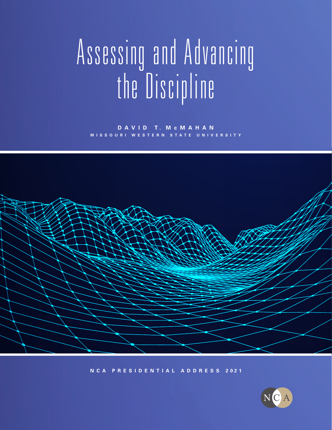# A s s es sing a nd A dv an cing the Discipline

**D A V I D T. M c MAHAN MISSOURI WESTERN STATE UNIVERSITY**



**N C A P R E S I D E N T I A L A D D R E S S 2021**

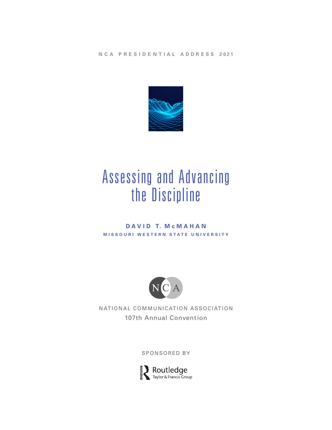**N C A P R E S I D E N T I A L A D D R E S S 2021**



# Assessing and Advancing the Discipline

#### **D A V I D T. M c MAHAN MISSOURI WESTERN STATE UNIVERSITY**



NATIONAL COMMUNICATION ASSOCIATION 107th Annual Convention

SPONSORED BY

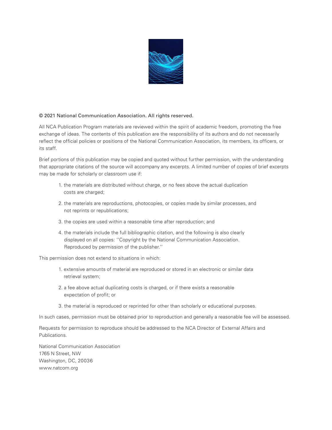

#### © 2021 National Communication Association. All rights reserved.

All NCA Publication Program materials are reviewed within the spirit of academic freedom, promoting the free exchange of ideas. The contents of this publication are the responsibility of its authors and do not necessarily reflect the official policies or positions of the National Communication Association, its members, its officers, or its staff.

Brief portions of this publication may be copied and quoted without further permission, with the understanding that appropriate citations of the source will accompany any excerpts. A limited number of copies of brief excerpts may be made for scholarly or classroom use if:

- 1. the materials are distributed without charge, or no fees above the actual duplication costs are charged;
- 2. the materials are reproductions, photocopies, or copies made by similar processes, and not reprints or republications;
- 3. the copies are used within a reasonable time after reproduction; and
- 4. the materials include the full bibliographic citation, and the following is also clearly displayed on all copies: ''Copyright by the National Communication Association. Reproduced by permission of the publisher.''

This permission does not extend to situations in which:

- 1. extensive amounts of material are reproduced or stored in an electronic or similar data retrieval system;
- 2. a fee above actual duplicating costs is charged, or if there exists a reasonable expectation of profit; or
- 3. the material is reproduced or reprinted for other than scholarly or educational purposes.

In such cases, permission must be obtained prior to reproduction and generally a reasonable fee will be assessed.

Requests for permission to reproduce should be addressed to the NCA Director of External Affairs and Publications.

National Communication Association 1765 N Street, NW Washington, DC, 20036 www.natcom.org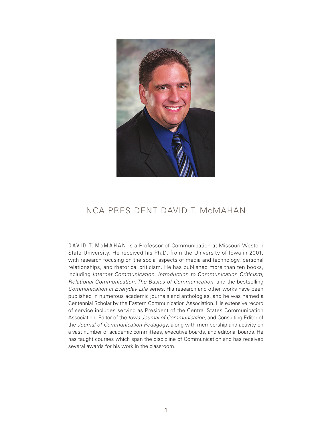

# NCA PRESIDENT DAVID T. McMAHAN

DAVID T. M c MAHAN is a Professor of Communication at Missouri Western State University. He received his Ph.D. from the University of Iowa in 2001, with research focusing on the social aspects of media and technology, personal relationships, and rhetorical criticism. He has published more than ten books, including *Internet Communication*, *Introduction to Communication Criticism*, *Relational Communication*, *The Basics of Communication*, and the bestselling *Communication in Everyday Life* series. His research and other works have been published in numerous academic journals and anthologies, and he was named a Centennial Scholar by the Eastern Communication Association. His extensive record of service includes serving as President of the Central States Communication Association, Editor of the *Iowa Journal of Communication*, and Consulting Editor of the *Journal of Communication Pedagogy*, along with membership and activity on a vast number of academic committees, executive boards, and editorial boards. He has taught courses which span the discipline of Communication and has received several awards for his work in the classroom.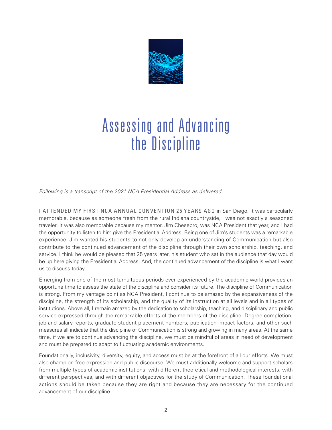

# Assessing and Advancing the Discipline

*Following is a transcript of the 2021 NCA Presidential Address as delivered.* 

I ATTENDED MY FIRST NCA ANNUAL CONVENTION 25 YEARS AGO in San Diego. It was particularly memorable, because as someone fresh from the rural Indiana countryside, I was not exactly a seasoned traveler. It was also memorable because my mentor, Jim Chesebro, was NCA President that year, and I had the opportunity to listen to him give the Presidential Address. Being one of Jim's students was a remarkable experience. Jim wanted his students to not only develop an understanding of Communication but also contribute to the continued advancement of the discipline through their own scholarship, teaching, and service. I think he would be pleased that 25 years later, his student who sat in the audience that day would be up here giving the Presidential Address. And, the continued advancement of the discipline is what I want us to discuss today.

Emerging from one of the most tumultuous periods ever experienced by the academic world provides an opportune time to assess the state of the discipline and consider its future. The discipline of Communication is strong. From my vantage point as NCA President, I continue to be amazed by the expansiveness of the discipline, the strength of its scholarship, and the quality of its instruction at all levels and in all types of institutions. Above all, I remain amazed by the dedication to scholarship, teaching, and disciplinary and public service expressed through the remarkable efforts of the members of the discipline. Degree completion, job and salary reports, graduate student placement numbers, publication impact factors, and other such measures all indicate that the discipline of Communication is strong and growing in many areas. At the same time, if we are to continue advancing the discipline, we must be mindful of areas in need of development and must be prepared to adapt to fluctuating academic environments.

Foundationally, inclusivity, diversity, equity, and access must be at the forefront of all our efforts. We must also champion free expression and public discourse. We must additionally welcome and support scholars from multiple types of academic institutions, with different theoretical and methodological interests, with different perspectives, and with different objectives for the study of Communication. These foundational actions should be taken because they are right and because they are necessary for the continued advancement of our discipline.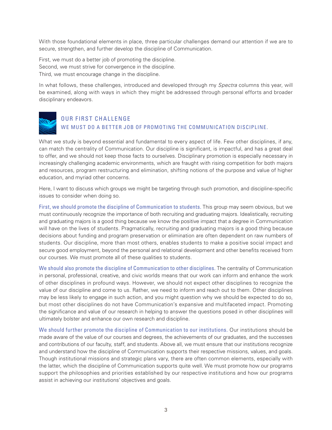With those foundational elements in place, three particular challenges demand our attention if we are to secure, strengthen, and further develop the discipline of Communication.

First, we must do a better job of promoting the discipline. Second, we must strive for convergence in the discipline. Third, we must encourage change in the discipline.

In what follows, these challenges, introduced and developed through my *Spectra* columns this year, will be examined, along with ways in which they might be addressed through personal efforts and broader disciplinary endeavors.

## OUR FIRST CHALLENGE WE MUST DO A BETTER JOB OF PROMOTING THE COMMUNICATION DISCIPLINE.

What we study is beyond essential and fundamental to every aspect of life. Few other disciplines, if any, can match the centrality of Communication. Our discipline is significant, is impactful, and has a great deal to offer, and we should not keep those facts to ourselves. Disciplinary promotion is especially necessary in increasingly challenging academic environments, which are fraught with rising competition for both majors and resources, program restructuring and elimination, shifting notions of the purpose and value of higher education, and myriad other concerns.

Here, I want to discuss which groups we might be targeting through such promotion, and discipline-specific issues to consider when doing so.

First, we should promote the discipline of Communication to students. This group may seem obvious, but we must continuously recognize the importance of both recruiting and graduating majors. Idealistically, recruiting and graduating majors is a good thing because we know the positive impact that a degree in Communication will have on the lives of students. Pragmatically, recruiting and graduating majors is a good thing because decisions about funding and program preservation or elimination are often dependent on raw numbers of students. Our discipline, more than most others, enables students to make a positive social impact and secure good employment, beyond the personal and relational development and other benefits received from our courses. We must promote all of these qualities to students.

We should also promote the discipline of Communication to other disciplines. The centrality of Communication in personal, professional, creative, and civic worlds means that our work can inform and enhance the work of other disciplines in profound ways. However, we should not expect other disciplines to recognize the value of our discipline and come to us. Rather, we need to inform and reach out to them. Other disciplines may be less likely to engage in such action, and you might question why we should be expected to do so, but most other disciplines do not have Communication's expansive and multifaceted impact. Promoting the significance and value of our research in helping to answer the questions posed in other disciplines will ultimately bolster and enhance our own research and discipline.

We should further promote the discipline of Communication to our institutions. Our institutions should be made aware of the value of our courses and degrees, the achievements of our graduates, and the successes and contributions of our faculty, staff, and students. Above all, we must ensure that our institutions recognize and understand how the discipline of Communication supports their respective missions, values, and goals. Though institutional missions and strategic plans vary, there are often common elements, especially with the latter, which the discipline of Communication supports quite well. We must promote how our programs support the philosophies and priorities established by our respective institutions and how our programs assist in achieving our institutions' objectives and goals.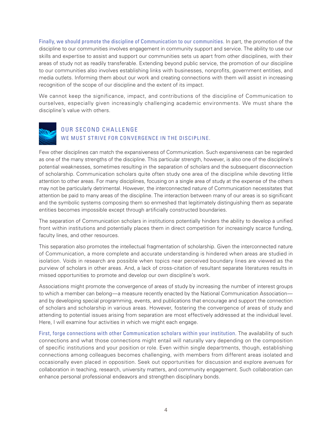Finally, we should promote the discipline of Communication to our communities. In part, the promotion of the discipline to our communities involves engagement in community support and service. The ability to use our skills and expertise to assist and support our communities sets us apart from other disciplines, with their areas of study not as readily transferable. Extending beyond public service, the promotion of our discipline to our communities also involves establishing links with businesses, nonprofits, government entities, and media outlets. Informing them about our work and creating connections with them will assist in increasing recognition of the scope of our discipline and the extent of its impact.

We cannot keep the significance, impact, and contributions of the discipline of Communication to ourselves, especially given increasingly challenging academic environments. We must share the discipline's value with others.



## OUR SECOND CHALLENGE WE MUST STRIVE FOR CONVERGENCE IN THE DISCIPLINE.

Few other disciplines can match the expansiveness of Communication. Such expansiveness can be regarded as one of the many strengths of the discipline. This particular strength, however, is also one of the discipline's potential weaknesses, sometimes resulting in the separation of scholars and the subsequent disconnection of scholarship. Communication scholars quite often study one area of the discipline while devoting little attention to other areas. For many disciplines, focusing on a single area of study at the expense of the others may not be particularly detrimental. However, the interconnected nature of Communication necessitates that attention be paid to many areas of the discipline. The interaction between many of our areas is so significant and the symbolic systems composing them so enmeshed that legitimately distinguishing them as separate entities becomes impossible except through artificially constructed boundaries.

The separation of Communication scholars in institutions potentially hinders the ability to develop a unified front within institutions and potentially places them in direct competition for increasingly scarce funding, faculty lines, and other resources.

This separation also promotes the intellectual fragmentation of scholarship. Given the interconnected nature of Communication, a more complete and accurate understanding is hindered when areas are studied in isolation. Voids in research are possible when topics near perceived boundary lines are viewed as the purview of scholars in other areas. And, a lack of cross-citation of resultant separate literatures results in missed opportunities to promote and develop our own discipline's work.

Associations might promote the convergence of areas of study by increasing the number of interest groups to which a member can belong—a measure recently enacted by the National Communication Association and by developing special programming, events, and publications that encourage and support the connection of scholars and scholarship in various areas. However, fostering the convergence of areas of study and attending to potential issues arising from separation are most effectively addressed at the individual level. Here, I will examine four activities in which we might each engage.

First, forge connections with other Communication scholars within your institution. The availability of such connections and what those connections might entail will naturally vary depending on the composition of specific institutions and your position or role. Even within single departments, though, establishing connections among colleagues becomes challenging, with members from different areas isolated and occasionally even placed in opposition. Seek out opportunities for discussion and explore avenues for collaboration in teaching, research, university matters, and community engagement. Such collaboration can enhance personal professional endeavors and strengthen disciplinary bonds.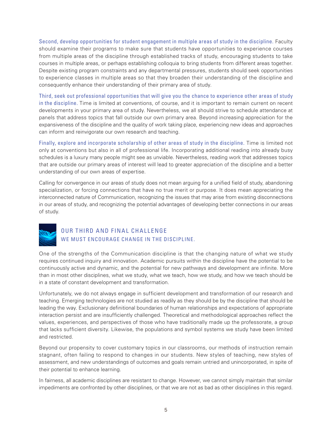Second, develop opportunities for student engagement in multiple areas of study in the discipline. Faculty should examine their programs to make sure that students have opportunities to experience courses from multiple areas of the discipline through established tracks of study, encouraging students to take courses in multiple areas, or perhaps establishing colloquia to bring students from different areas together. Despite existing program constraints and any departmental pressures, students should seek opportunities to experience classes in multiple areas so that they broaden their understanding of the discipline and consequently enhance their understanding of their primary area of study.

Third, seek out professional opportunities that will give you the chance to experience other areas of study in the discipline. Time is limited at conventions, of course, and it is important to remain current on recent developments in your primary area of study. Nevertheless, we all should strive to schedule attendance at panels that address topics that fall outside our own primary area. Beyond increasing appreciation for the expansiveness of the discipline and the quality of work taking place, experiencing new ideas and approaches can inform and reinvigorate our own research and teaching.

Finally, explore and incorporate scholarship of other areas of study in the discipline. Time is limited not only at conventions but also in all of professional life. Incorporating additional reading into already busy schedules is a luxury many people might see as unviable. Nevertheless, reading work that addresses topics that are outside our primary areas of interest will lead to greater appreciation of the discipline and a better understanding of our own areas of expertise.

Calling for convergence in our areas of study does not mean arguing for a unified field of study, abandoning specialization, or forcing connections that have no true merit or purpose. It does mean appreciating the interconnected nature of Communication, recognizing the issues that may arise from existing disconnections in our areas of study, and recognizing the potential advantages of developing better connections in our areas of study.



### OUR THIRD AND FINAL CHALLENGE WE MUST ENCOURAGE CHANGE IN THE DISCIPLINE.

One of the strengths of the Communication discipline is that the changing nature of what we study requires continued inquiry and innovation. Academic pursuits within the discipline have the potential to be continuously active and dynamic, and the potential for new pathways and development are infinite. More than in most other disciplines, what we study, what we teach, how we study, and how we teach should be in a state of constant development and transformation.

Unfortunately, we do not always engage in sufficient development and transformation of our research and teaching. Emerging technologies are not studied as readily as they should be by the discipline that should be leading the way. Exclusionary definitional boundaries of human relationships and expectations of appropriate interaction persist and are insufficiently challenged. Theoretical and methodological approaches reflect the values, experiences, and perspectives of those who have traditionally made up the professorate, a group that lacks sufficient diversity. Likewise, the populations and symbol systems we study have been limited and restricted.

Beyond our propensity to cover customary topics in our classrooms, our methods of instruction remain stagnant, often failing to respond to changes in our students. New styles of teaching, new styles of assessment, and new understandings of outcomes and goals remain untried and unincorporated, in spite of their potential to enhance learning.

In fairness, all academic disciplines are resistant to change. However, we cannot simply maintain that similar impediments are confronted by other disciplines, or that we are not as bad as other disciplines in this regard.